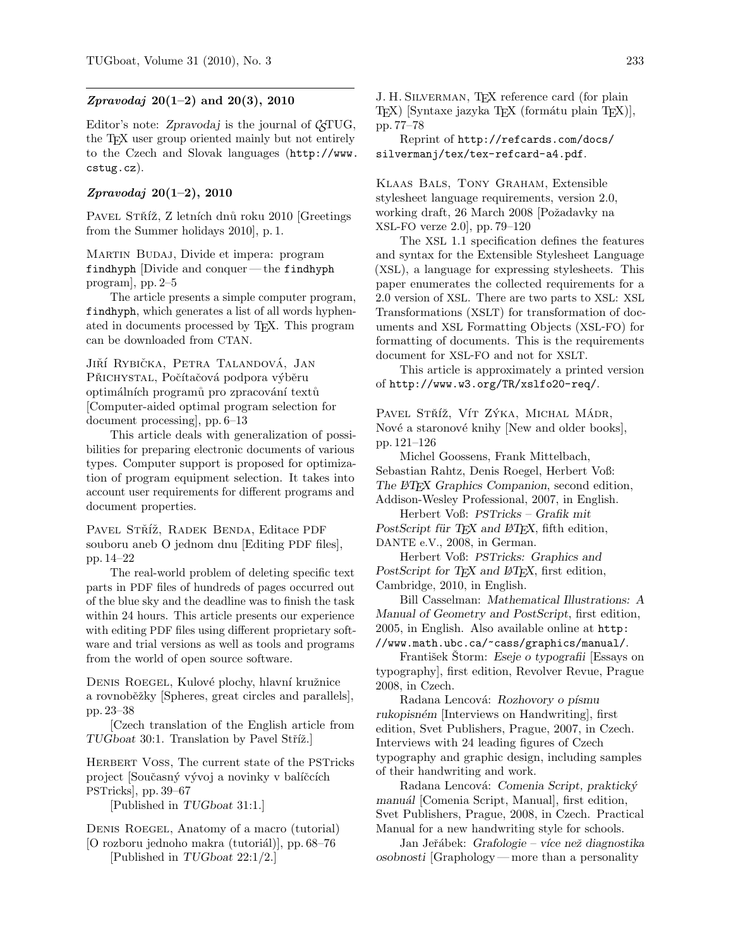## *Zpravodaj* 20(1–2) and 20(3), 2010

Editor's note: Zpravodaj is the journal of  $\mathcal{L}$ TUG, the T<sub>E</sub>X user group oriented mainly but not entirely to the Czech and Slovak languages (http://www. cstug.cz).

## Zpravodaj 20(1–2), 2010

PAVEL STŘÍŽ, Z letních dnů roku 2010 [Greetings from the Summer holidays 2010], p. 1.

MARTIN BUDAJ, Divide et impera: program findhyph [Divide and conquer— the findhyph program], pp. 2–5

The article presents a simple computer program, findhyph, which generates a list of all words hyphenated in documents processed by TEX. This program can be downloaded from CTAN.

JIŘÍ RYBIČKA, PETRA TALANDOVÁ, JAN PŘICHYSTAL, Počítačová podpora výběru optimálních programů pro zpracování textů [Computer-aided optimal program selection for document processing], pp. 6–13

This article deals with generalization of possibilities for preparing electronic documents of various types. Computer support is proposed for optimization of program equipment selection. It takes into account user requirements for different programs and document properties.

PAVEL STŘÍŽ, RADEK BENDA, Editace PDF souboru aneb O jednom dnu [Editing PDF files], pp. 14–22

The real-world problem of deleting specific text parts in PDF files of hundreds of pages occurred out of the blue sky and the deadline was to finish the task within 24 hours. This article presents our experience with editing PDF files using different proprietary software and trial versions as well as tools and programs from the world of open source software.

DENIS ROEGEL, Kulové plochy, hlavní kružnice a rovnoběžky [Spheres, great circles and parallels], pp. 23–38

[Czech translation of the English article from TUGboat 30:1. Translation by Pavel Stříž.

HERBERT VOSS, The current state of the PSTricks project [Současný vývoj a novinky v balíčcích PSTricks], pp. 39–67

[Published in TUGboat 31:1.]

Denis Roegel, Anatomy of a macro (tutorial)

 $[O \text{ rozboru jednoho makra (tutoria])}]$ , pp. 68–76 [Published in TUGboat 22:1/2.]

J. H. Silverman, TEX reference card (for plain TEX) [Syntaxe jazyka TEX (formátu plain TEX)], pp. 77–78

Reprint of http://refcards.com/docs/ silvermanj/tex/tex-refcard-a4.pdf.

Klaas Bals, Tony Graham, Extensible stylesheet language requirements, version 2.0, working draft, 26 March 2008 [Požadavky na XSL-FO verze 2.0], pp. 79–120

The XSL 1.1 specification defines the features and syntax for the Extensible Stylesheet Language (XSL), a language for expressing stylesheets. This paper enumerates the collected requirements for a 2.0 version of XSL. There are two parts to XSL: XSL Transformations (XSLT) for transformation of documents and XSL Formatting Objects (XSL-FO) for formatting of documents. This is the requirements document for XSL-FO and not for XSLT.

This article is approximately a printed version of http://www.w3.org/TR/xslfo20-req/.

PAVEL STŘÍŽ, VÍT ZÝKA, MICHAL MÁDR, Nové a staronové knihy [New and older books], pp. 121–126

Michel Goossens, Frank Mittelbach, Sebastian Rahtz, Denis Roegel, Herbert Voß: The LAT<sub>E</sub>X Graphics Companion, second edition, Addison-Wesley Professional, 2007, in English.

Herbert Voß: PSTricks – Grafik mit PostScript für TEX and ETEX, fifth edition, DANTE e.V., 2008, in German.

Herbert Voß: PSTricks: Graphics and PostScript for T<sub>F</sub>X and L<sup>AT</sup>F<sub>X</sub>, first edition, Cambridge, 2010, in English.

Bill Casselman: Mathematical Illustrations: A Manual of Geometry and PostScript, first edition, 2005, in English. Also available online at http: //www.math.ubc.ca/~cass/graphics/manual/.

František Štorm: Eseje o typografii [Essays on typography], first edition, Revolver Revue, Prague 2008, in Czech.

Radana Lencová: Rozhovory o písmu rukopisném [Interviews on Handwriting], first edition, Svet Publishers, Prague, 2007, in Czech. Interviews with 24 leading figures of Czech typography and graphic design, including samples of their handwriting and work.

Radana Lencová: Comenia Script, praktický manuál [Comenia Script, Manual], first edition, Svet Publishers, Prague, 2008, in Czech. Practical Manual for a new handwriting style for schools.

Jan Jeřábek: Grafologie – více než diagnostika osobnosti [Graphology— more than a personality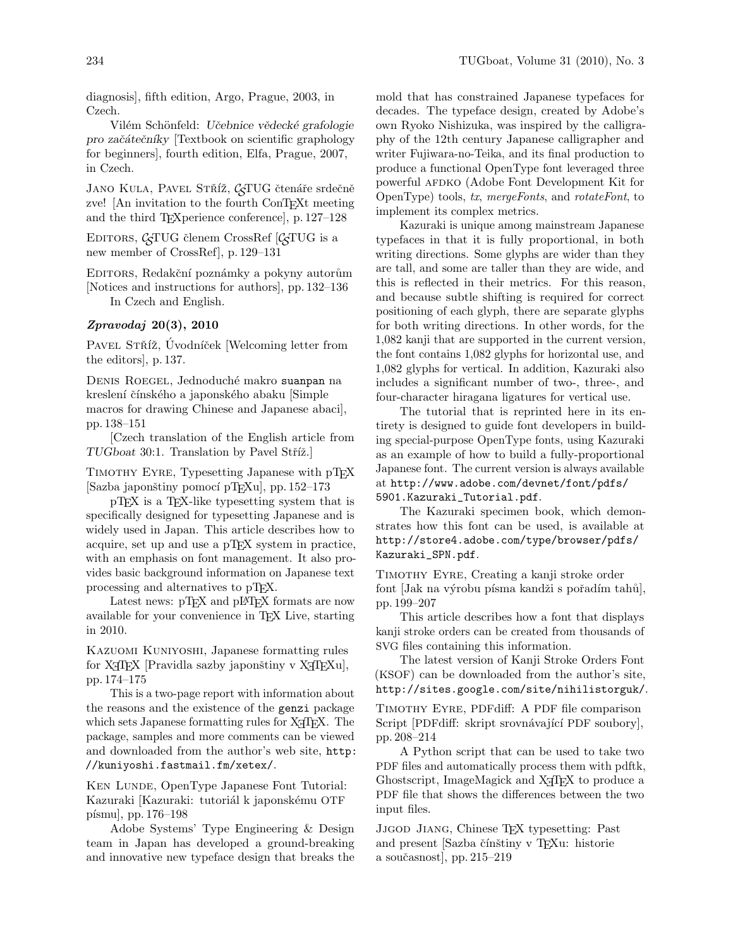diagnosis], fifth edition, Argo, Prague, 2003, in Czech.

Vilém Schönfeld: Učebnice vědecké grafologie pro zaˇc´ateˇcn´ıky [Textbook on scientific graphology for beginners], fourth edition, Elfa, Prague, 2007, in Czech.

JANO KULA, PAVEL STŘÍŽ, CTUG čtenáře srdečně zve! [An invitation to the fourth ConTEXt meeting and the third TEXperience conference], p. 127–128

EDITORS,  $\mathcal{C}$ TUG členem CrossRef  $[\mathcal{C}$ TUG is a new member of CrossRef], p. 129–131

EDITORS, Redakční poznámky a pokyny autorům [Notices and instructions for authors], pp. 132–136 In Czech and English.

## Zpravodaj 20(3), 2010

PAVEL STŘÍŽ, Úvodníček [Welcoming letter from the editors], p. 137.

DENIS ROEGEL, Jednoduché makro suanpan na kreslení čínského a japonského abaku [Simple macros for drawing Chinese and Japanese abaci], pp. 138–151

[Czech translation of the English article from TUGboat 30:1. Translation by Pavel Stříž.]

Timothy Eyre, Typesetting Japanese with pTEX [Sazba japonštiny pomocí pTEXu], pp. 152–173

pTEX is a TEX-like typesetting system that is specifically designed for typesetting Japanese and is widely used in Japan. This article describes how to acquire, set up and use a pTEX system in practice, with an emphasis on font management. It also provides basic background information on Japanese text processing and alternatives to pTEX.

Latest news: pTFX and pLATFX formats are now available for your convenience in TEX Live, starting in 2010.

Kazuomi Kuniyoshi, Japanese formatting rules for  $X \nsubseteq \Gamma$  [Pravidla sazby japonštiny v  $X \nsubseteq \Gamma$  FXu], pp. 174–175

This is a two-page report with information about the reasons and the existence of the genzi package which sets Japanese formatting rules for X<sub>T</sub>T<sub>E</sub>X. The package, samples and more comments can be viewed and downloaded from the author's web site, http: //kuniyoshi.fastmail.fm/xetex/.

KEN LUNDE, OpenType Japanese Font Tutorial: Kazuraki [Kazuraki: tutoriál k japonskému OTF písmu], pp.  $176-198$ 

Adobe Systems' Type Engineering & Design team in Japan has developed a ground-breaking and innovative new typeface design that breaks the mold that has constrained Japanese typefaces for decades. The typeface design, created by Adobe's own Ryoko Nishizuka, was inspired by the calligraphy of the 12th century Japanese calligrapher and writer Fujiwara-no-Teika, and its final production to produce a functional OpenType font leveraged three powerful AFDKO (Adobe Font Development Kit for OpenType) tools, tx, mergeFonts, and rotateFont, to implement its complex metrics.

Kazuraki is unique among mainstream Japanese typefaces in that it is fully proportional, in both writing directions. Some glyphs are wider than they are tall, and some are taller than they are wide, and this is reflected in their metrics. For this reason, and because subtle shifting is required for correct positioning of each glyph, there are separate glyphs for both writing directions. In other words, for the 1,082 kanji that are supported in the current version, the font contains 1,082 glyphs for horizontal use, and 1,082 glyphs for vertical. In addition, Kazuraki also includes a significant number of two-, three-, and four-character hiragana ligatures for vertical use.

The tutorial that is reprinted here in its entirety is designed to guide font developers in building special-purpose OpenType fonts, using Kazuraki as an example of how to build a fully-proportional Japanese font. The current version is always available at http://www.adobe.com/devnet/font/pdfs/ 5901.Kazuraki\_Tutorial.pdf.

The Kazuraki specimen book, which demonstrates how this font can be used, is available at http://store4.adobe.com/type/browser/pdfs/ Kazuraki\_SPN.pdf.

TIMOTHY EYRE, Creating a kanji stroke order font [Jak na výrobu písma kandži s pořadím tahů], pp. 199–207

This article describes how a font that displays kanji stroke orders can be created from thousands of SVG files containing this information.

The latest version of Kanji Stroke Orders Font (KSOF) can be downloaded from the author's site, http://sites.google.com/site/nihilistorguk/.

Timothy Eyre, PDFdiff: A PDF file comparison Script [PDFdiff: skript srovnávající PDF soubory], pp. 208–214

A Python script that can be used to take two PDF files and automatically process them with pdftk, Ghostscript, ImageMagick and X<sub>T</sub>T<sub>F</sub>X to produce a PDF file that shows the differences between the two input files.

Jjgod Jiang, Chinese TEX typesetting: Past and present [Sazba čínštiny v T<sub>E</sub>Xu: historie a souˇcasnost], pp. 215–219